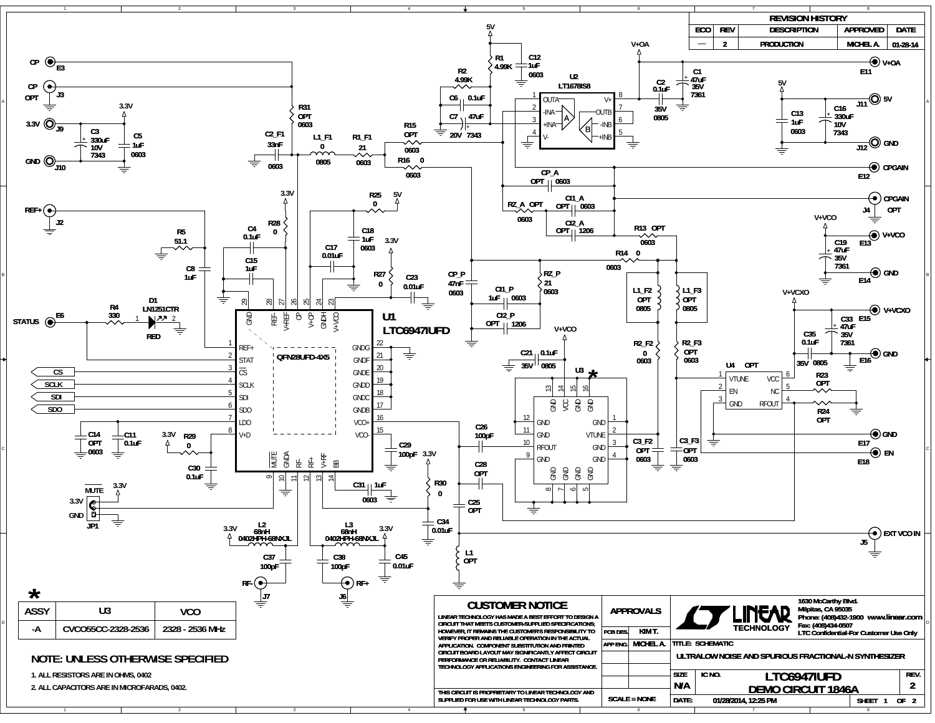